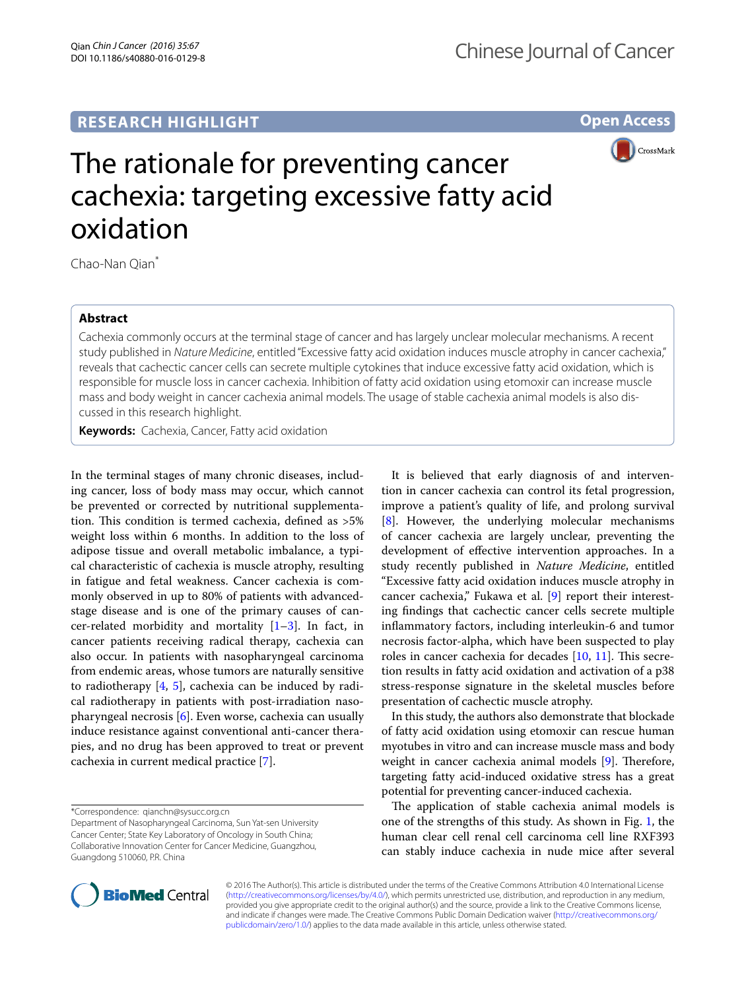## **RESEARCH HIGHLIGHT**

**Open Access**



# The rationale for preventing cancer cachexia: targeting excessive fatty acid oxidation

Chao-Nan Oian<sup>\*</sup>

## **Abstract**

Cachexia commonly occurs at the terminal stage of cancer and has largely unclear molecular mechanisms. A recent study published in *Nature Medicine*, entitled "Excessive fatty acid oxidation induces muscle atrophy in cancer cachexia," reveals that cachectic cancer cells can secrete multiple cytokines that induce excessive fatty acid oxidation, which is responsible for muscle loss in cancer cachexia. Inhibition of fatty acid oxidation using etomoxir can increase muscle mass and body weight in cancer cachexia animal models. The usage of stable cachexia animal models is also dis‑ cussed in this research highlight.

**Keywords:** Cachexia, Cancer, Fatty acid oxidation

In the terminal stages of many chronic diseases, including cancer, loss of body mass may occur, which cannot be prevented or corrected by nutritional supplementation. This condition is termed cachexia, defined as >5% weight loss within 6 months. In addition to the loss of adipose tissue and overall metabolic imbalance, a typical characteristic of cachexia is muscle atrophy, resulting in fatigue and fetal weakness. Cancer cachexia is commonly observed in up to 80% of patients with advancedstage disease and is one of the primary causes of cancer-related morbidity and mortality  $[1-3]$  $[1-3]$ . In fact, in cancer patients receiving radical therapy, cachexia can also occur. In patients with nasopharyngeal carcinoma from endemic areas, whose tumors are naturally sensitive to radiotherapy [\[4](#page-1-2), [5\]](#page-1-3), cachexia can be induced by radical radiotherapy in patients with post-irradiation nasopharyngeal necrosis [[6\]](#page-1-4). Even worse, cachexia can usually induce resistance against conventional anti-cancer therapies, and no drug has been approved to treat or prevent cachexia in current medical practice [[7\]](#page-1-5).

It is believed that early diagnosis of and intervention in cancer cachexia can control its fetal progression, improve a patient's quality of life, and prolong survival [[8\]](#page-1-6). However, the underlying molecular mechanisms of cancer cachexia are largely unclear, preventing the development of effective intervention approaches. In a study recently published in *Nature Medicine*, entitled "Excessive fatty acid oxidation induces muscle atrophy in cancer cachexia," Fukawa et al. [\[9](#page-1-7)] report their interesting findings that cachectic cancer cells secrete multiple inflammatory factors, including interleukin-6 and tumor necrosis factor-alpha, which have been suspected to play roles in cancer cachexia for decades [\[10,](#page-1-8) [11](#page-1-9)]. This secretion results in fatty acid oxidation and activation of a p38 stress-response signature in the skeletal muscles before presentation of cachectic muscle atrophy.

In this study, the authors also demonstrate that blockade of fatty acid oxidation using etomoxir can rescue human myotubes in vitro and can increase muscle mass and body weight in cancer cachexia animal models [\[9](#page-1-7)]. Therefore, targeting fatty acid-induced oxidative stress has a great potential for preventing cancer-induced cachexia.

The application of stable cachexia animal models is one of the strengths of this study. As shown in Fig. [1,](#page-1-10) the human clear cell renal cell carcinoma cell line RXF393 can stably induce cachexia in nude mice after several



© 2016 The Author(s). This article is distributed under the terms of the Creative Commons Attribution 4.0 International License [\(http://creativecommons.org/licenses/by/4.0/\)](http://creativecommons.org/licenses/by/4.0/), which permits unrestricted use, distribution, and reproduction in any medium, provided you give appropriate credit to the original author(s) and the source, provide a link to the Creative Commons license, and indicate if changes were made. The Creative Commons Public Domain Dedication waiver ([http://creativecommons.org/](http://creativecommons.org/publicdomain/zero/1.0/) [publicdomain/zero/1.0/](http://creativecommons.org/publicdomain/zero/1.0/)) applies to the data made available in this article, unless otherwise stated.

<sup>\*</sup>Correspondence: qianchn@sysucc.org.cn

Department of Nasopharyngeal Carcinoma, Sun Yat-sen University Cancer Center; State Key Laboratory of Oncology in South China; Collaborative Innovation Center for Cancer Medicine, Guangzhou, Guangdong 510060, P.R. China